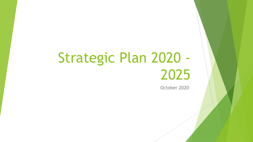# Strategic Plan 2020 - 2025

October 2020–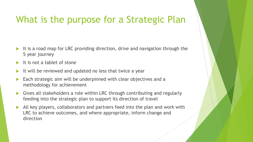## What is the purpose for a Strategic Plan

- It is a road map for LRC providing direction, drive and navigation through the 5 year journey
- It is not a tablet of stone
- It will be reviewed and updated no less that twice a year
- Each strategic aim will be underpinned with clear objectives and a methodology for achievement
- Gives all stakeholders a role within LRC through contributing and regularly feeding into the strategic plan to support its direction of travel
- All key players, collaborators and partners feed into the plan and work with LRC to achieve outcomes, and where appropriate, inform change and direction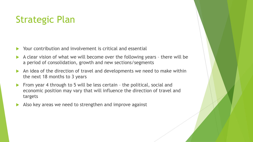# Strategic Plan

- Your contribution and involvement is critical and essential
- A clear vision of what we will become over the following years there will be a period of consolidation, growth and new sections/segments
- An idea of the direction of travel and developments we need to make within the next 18 months to 3 years
- From year 4 through to 5 will be less certain the political, social and economic position may vary that will influence the direction of travel and targets
- Also key areas we need to strengthen and improve against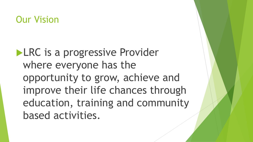#### Our Vision

**LRC** is a progressive Provider where everyone has the opportunity to grow, achieve and improve their life chances through education, training and community based activities.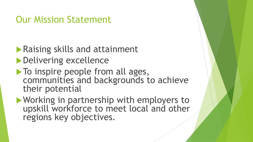## Our Mission Statement

- **Raising skills and attainment** ▶ Delivering excellence
- $\blacktriangleright$  To inspire people from all ages, communities and backgrounds to achieve their potential
- Working in partnership with employers to upskill workforce to meet local and other regions key objectives.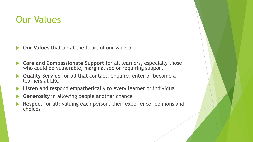## Our Values

- **Our Values** that lie at the heart of our work are:
- **Care and Compassionate Support** for all learners, especially those who could be vulnerable, marginalised or requiring support
- **Quality Service** for all that contact, enquire, enter or become a learners at LRC
- **Listen** and respond empathetically to every learner or individual
- **Generosity** in allowing people another chance
- **Respect** for all: valuing each person, their experience, opinions and choices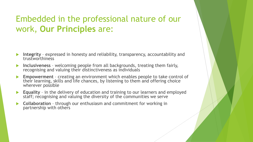#### Embedded in the professional nature of our work, **Our Principles** are:

- **Integrity**  expressed in honesty and reliability, transparency, accountability and trustworthiness
- **Inclusiveness**  welcoming people from all backgrounds, treating them fairly, recognising and valuing their distinctiveness as individuals
- **Empowerment**  creating an environment which enables people to take control of their learning, skills and life chances, by listening to them and offering choice wherever possible
- **Equality**  in the delivery of education and training to our learners and employed staff; recognising and valuing the diversity of the communities we serve
- **Collaboration**  through our enthusiasm and commitment for working in partnership with others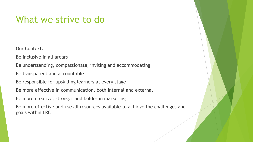#### What we strive to do

Our Context:

Be inclusive in all arears

Be understanding, compassionate, inviting and accommodating

Be transparent and accountable

Be responsible for upskilling learners at every stage

Be more effective in communication, both internal and external

Be more creative, stronger and bolder in marketing

Be more effective and use all resources available to achieve the challenges and goals within LRC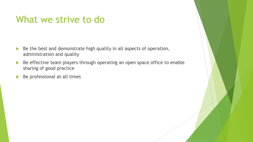#### What we strive to do

- $\triangleright$  Be the best and demonstrate high quality in all aspects of operation, administration and quality
- Be effective team players through operating an open space office to enable sharing of good practice
- $\triangleright$  Be professional at all times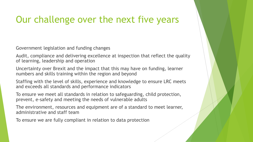## Our challenge over the next five years

Government legislation and funding changes

Audit, compliance and delivering excellence at inspection that reflect the quality of learning, leadership and operation

Uncertainty over Brexit and the impact that this may have on funding, learner numbers and skills training within the region and beyond

Staffing with the level of skills, experience and knowledge to ensure LRC meets and exceeds all standards and performance indicators

To ensure we meet all standards in relation to safeguarding, child protection, prevent, e-safety and meeting the needs of vulnerable adults

The environment, resources and equipment are of a standard to meet learner, administrative and staff team

To ensure we are fully compliant in relation to data protection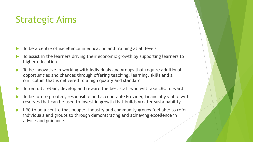# Strategic Aims

- To be a centre of excellence in education and training at all levels
- To assist in the learners driving their economic growth by supporting learners to higher education
- $\blacktriangleright$  To be innovative in working with individuals and groups that require additional opportunities and chances through offering teaching, learning, skills and a curriculum that is delivered to a high quality and standard
- ▶ To recruit, retain, develop and reward the best staff who will take LRC forward
- To be future proofed, responsible and accountable Provider, financially viable with reserves that can be used to invest in growth that builds greater sustainability
- LRC to be a centre that people, industry and community groups feel able to refer individuals and groups to through demonstrating and achieving excellence in advice and guidance.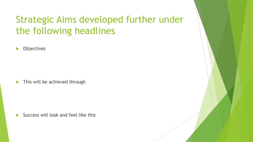# Strategic Aims developed further under the following headlines

**Diectives** 

This will be achieved through

Success will look and feel like this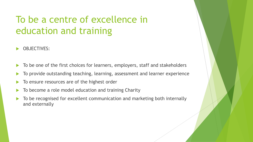# To be a centre of excellence in education and training

- OBJECTIVES:
- $\blacktriangleright$  To be one of the first choices for learners, employers, staff and stakeholders
- To provide outstanding teaching, learning, assessment and learner experience
- To ensure resources are of the highest order
- To become a role model education and training Charity
- To be recognised for excellent communication and marketing both internally and externally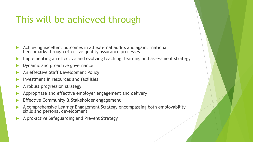# This will be achieved through

- Achieving excellent outcomes in all external audits and against national benchmarks through effective quality assurance processes
- Implementing an effective and evolving teaching, learning and assessment strategy
- Dynamic and proactive governance
- An effective Staff Development Policy
- Investment in resources and facilities
- A robust progression strategy
- Appropriate and effective employer engagement and delivery
- Effective Community & Stakeholder engagement
- A comprehensive Learner Engagement Strategy encompassing both employability skills and personal development
- A pro-active Safeguarding and Prevent Strategy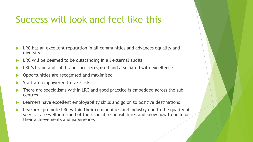# Success will look and feel like this

- LRC has an excellent reputation in all communities and advances equality and diversity
- LRC will be deemed to be outstanding in all external audits
- LRC's brand and sub-brands are recognised and associated with excellence
- Opportunities are recognised and maximised
- Staff are empowered to take risks
- There are specialisms within LRC and good practice is embedded across the sub centres
- Learners have excellent employability skills and go on to positive destinations
- **Learners** promote LRC within their communities and industry due to the quality of service, are well informed of their social responsibilities and know how to build on their achievements and experience.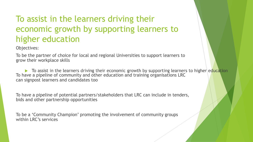#### To assist in the learners driving their economic growth by supporting learners to higher education

Objectives:

To be the partner of choice for local and regional Universities to support learners to grow their workplace skills

 $\blacktriangleright$  To assist in the learners driving their economic growth by supporting learners to higher education To have a pipeline of community and other education and training organisations LRC can signpost learners and candidates too

To have a pipeline of potential partners/stakeholders that LRC can include in tenders, bids and other partnership opportunities

To be a 'Community Champion' promoting the involvement of community groups within LRC's services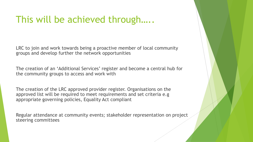### This will be achieved through…..

LRC to join and work towards being a proactive member of local community groups and develop further the network opportunities

The creation of an 'Additional Services' register and become a central hub for the community groups to access and work with

The creation of the LRC approved provider register. Organisations on the approved list will be required to meet requirements and set criteria e.g appropriate governing policies, Equality Act compliant

Regular attendance at community events; stakeholder representation on project steering committees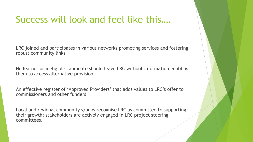## Success will look and feel like this….

LRC joined and participates in various networks promoting services and fostering robust community links

No learner or ineligible candidate should leave LRC without information enabling them to access alternative provision

An effective register of 'Approved Providers' that adds values to LRC's offer to commissioners and other funders

Local and regional community groups recognise LRC as committed to supporting their growth; stakeholders are actively engaged in LRC project steering committees.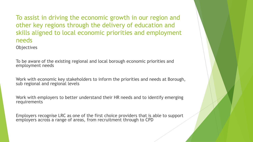To assist in driving the economic growth in our region and other key regions through the delivery of education and skills aligned to local economic priorities and employment needs

**Objectives** 

To be aware of the existing regional and local borough economic priorities and employment needs

Work with economic key stakeholders to inform the priorities and needs at Borough, sub regional and regional levels

Work with employers to better understand their HR needs and to identify emerging requirements

Employers recognise LRC as one of the first choice providers that is able to support employers across a range of areas, from recruitment through to CPD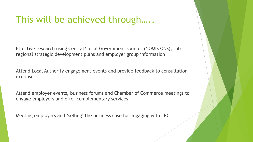#### This will be achieved through…..

Effective research using Central/Local Government sources (NOMIS ONS), sub regional strategic development plans and employer group information

Attend Local Authority engagement events and provide feedback to consultation exercises

Attend employer events, business forums and Chamber of Commerce meetings to engage employers and offer complementary services

Meeting employers and 'selling' the business case for engaging with LRC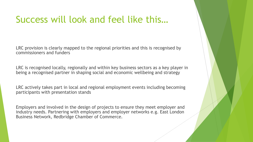## Success will look and feel like this…

LRC provision is clearly mapped to the regional priorities and this is recognised by commissioners and funders

LRC is recognised locally, regionally and within key business sectors as a key player in being a recognised partner in shaping social and economic wellbeing and strategy

LRC actively takes part in local and regional employment events including becoming participants with presentation stands

Employers and involved in the design of projects to ensure they meet employer and industry needs. Partnering with employers and employer networks e.g. East London Business Network, Redbridge Chamber of Commerce.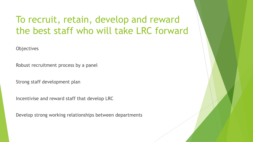# To recruit, retain, develop and reward the best staff who will take LRC forward

**Objectives** 

Robust recruitment process by a panel

Strong staff development plan

Incentivise and reward staff that develop LRC

Develop strong working relationships between departments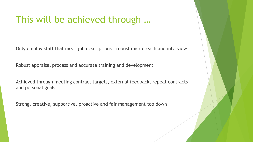### This will be achieved through …

Only employ staff that meet job descriptions – robust micro teach and interview

Robust appraisal process and accurate training and development

Achieved through meeting contract targets, external feedback, repeat contracts and personal goals

Strong, creative, supportive, proactive and fair management top down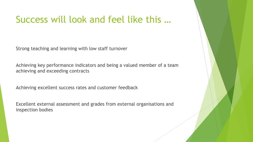## Success will look and feel like this …

Strong teaching and learning with low staff turnover

Achieving key performance indicators and being a valued member of a team achieving and exceeding contracts

Achieving excellent success rates and customer feedback

Excellent external assessment and grades from external organisations and inspection bodies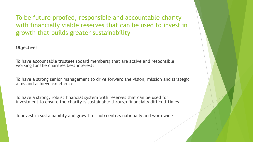To be future proofed, responsible and accountable charity with financially viable reserves that can be used to invest in growth that builds greater sustainability

**Objectives** 

To have accountable trustees (board members) that are active and responsible working for the charities best interests

To have a strong senior management to drive forward the vision, mission and strategic aims and achieve excellence

To have a strong, robust financial system with reserves that can be used for investment to ensure the charity is sustainable through financially difficult times

To invest in sustainability and growth of hub centres nationally and worldwide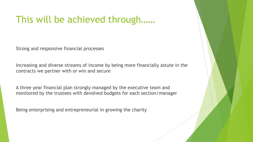#### This will be achieved through……

Strong and responsive financial processes

Increasing and diverse streams of income by being more financially astute in the contracts we partner with or win and secure

A three year financial plan strongly managed by the executive team and monitored by the trustees with devolved budgets for each section/manager

Being enterprising and entrepreneurial in growing the charity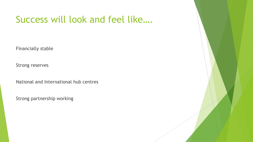## Success will look and feel like….

Financially stable

Strong reserves

National and International hub centres

Strong partnership working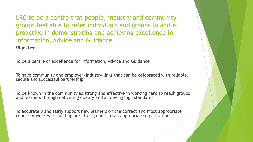LRC to be a centre that people, industry and community groups feel able to refer individuals and groups to and is proactive in demonstrating and achieving excellence in Information, Advice and Guidance **Objectives** 

To be a centre of excellence for Information, Advice and Guidance

To have community and employer/industry links that can be celebrated with reliable, secure and successful partnership

To be known in the community as strong and effective in working hard to reach groups and learners through delivering quality and achieving high standards

To accurately and fairly support new learners on the correct and most appropriate course or work with funding links to sign post to an appropriate organisation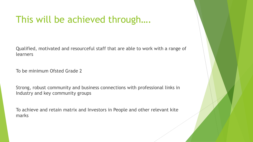## This will be achieved through….

Qualified, motivated and resourceful staff that are able to work with a range of learners

To be minimum Ofsted Grade 2

Strong, robust community and business connections with professional links in Industry and key community groups

To achieve and retain matrix and Investors in People and other relevant kite marks